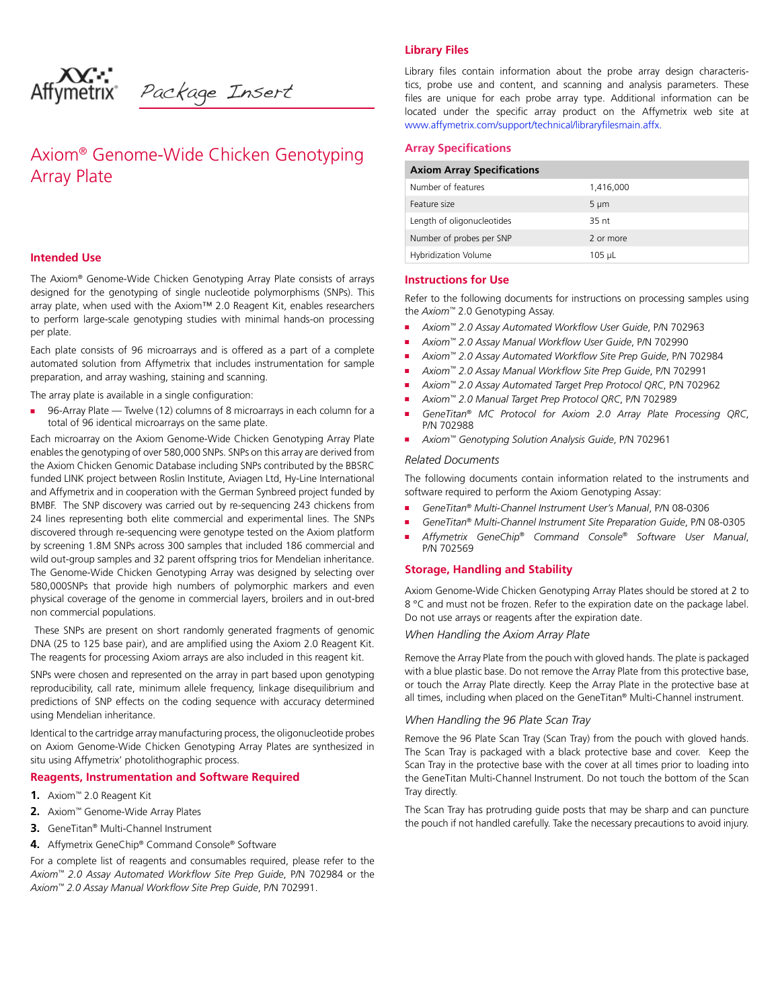Package Insert

# Axiom® Genome-Wide Chicken Genotyping Array Plate

# **Intended Use**

The Axiom*®* Genome-Wide Chicken Genotyping Array Plate consists of arrays designed for the genotyping of single nucleotide polymorphisms (SNPs). This array plate, when used with the Axiom™ 2.0 Reagent Kit, enables researchers to perform large-scale genotyping studies with minimal hands-on processing per plate.

Each plate consists of 96 microarrays and is offered as a part of a complete automated solution from Affymetrix that includes instrumentation for sample preparation, and array washing, staining and scanning.

The array plate is available in a single configuration:

96-Array Plate — Twelve (12) columns of 8 microarrays in each column for a total of 96 identical microarrays on the same plate.

Each microarray on the Axiom Genome-Wide Chicken Genotyping Array Plate enables the genotyping of over 580,000 SNPs. SNPs on this array are derived from the Axiom Chicken Genomic Database including SNPs contributed by the BBSRC funded LINK project between Roslin Institute, Aviagen Ltd, Hy-Line International and Affymetrix and in cooperation with the German Synbreed project funded by BMBF. The SNP discovery was carried out by re-sequencing 243 chickens from 24 lines representing both elite commercial and experimental lines. The SNPs discovered through re-sequencing were genotype tested on the Axiom platform by screening 1.8M SNPs across 300 samples that included 186 commercial and wild out-group samples and 32 parent offspring trios for Mendelian inheritance. The Genome-Wide Chicken Genotyping Array was designed by selecting over 580,000SNPs that provide high numbers of polymorphic markers and even physical coverage of the genome in commercial layers, broilers and in out-bred non commercial populations.

 These SNPs are present on short randomly generated fragments of genomic DNA (25 to 125 base pair), and are amplified using the Axiom 2.0 Reagent Kit. The reagents for processing Axiom arrays are also included in this reagent kit.

SNPs were chosen and represented on the array in part based upon genotyping reproducibility, call rate, minimum allele frequency, linkage disequilibrium and predictions of SNP effects on the coding sequence with accuracy determined using Mendelian inheritance.

Identical to the cartridge array manufacturing process, the oligonucleotide probes on Axiom Genome-Wide Chicken Genotyping Array Plates are synthesized in situ using Affymetrix' photolithographic process.

# **Reagents, Instrumentation and Software Required**

- **1.** Axiom™ 2.0 Reagent Kit
- **2.** Axiom™ Genome-Wide Array Plates
- **3.** GeneTitan® Multi-Channel Instrument
- 4. Affymetrix GeneChip® Command Console® Software

For a complete list of reagents and consumables required, please refer to the *Axiom<sup>™</sup>* 2.0 Assay Automated Workflow Site Prep Guide, P/N 702984 or the *Axiom<sup>™</sup> 2.0 Assay Manual Workflow Site Prep Guide, P/N 702991.* 

Library files contain information about the probe array design characteristics, probe use and content, and scanning and analysis parameters. These files are unique for each probe array type. Additional information can be located under the specific array product on the Affymetrix web site at www.affymetrix.com/support/technical/libraryfilesmain.affx.

### **Array Specifications**

**Library Files**

|  | <b>Axiom Array Specifications</b> |
|--|-----------------------------------|
|  |                                   |

| Number of features         | 1,416,000     |
|----------------------------|---------------|
| Feature size               | $5 \mu m$     |
| Length of oligonucleotides | 35 nt         |
| Number of probes per SNP   | 2 or more     |
| Hybridization Volume       | $105$ $\mu$ L |

### **Instructions for Use**

Refer to the following documents for instructions on processing samples using the *Axiom™* 2.0 Genotyping Assay.

- *Axiom<sup>™</sup>* 2.0 Assay Automated Workflow User Guide, P/N 702963
- *Axiom<sup>™</sup>* 2.0 Assay Manual Workflow User Guide, P/N 702990
- *Axiom<sup>™</sup>* 2.0 Assay Automated Workflow Site Prep Guide, P/N 702984
- Axiom<sup>™</sup> 2.0 Assay Manual Workflow Site Prep Guide, P/N 702991
- *Axiom™ 2.0 Assay Automated Target Prep Protocol QRC*, P/N 702962
- *Axiom™ 2.0 Manual Target Prep Protocol QRC*, P/N 702989
- *GeneTitan® MC Protocol for Axiom 2.0 Array Plate Processing QRC*, P/N 702988
- *Axiom™ Genotyping Solution Analysis Guide*, P/N 702961

## *Related Documents*

The following documents contain information related to the instruments and software required to perform the Axiom Genotyping Assay:

- *GeneTitan® Multi-Channel Instrument User's Manual*, P/N 08-0306
- *GeneTitan® Multi-Channel Instrument Site Preparation Guide*, P/N 08-0305
- *Affymetrix GeneChip® Command Console® Software User Manual*, P/N 702569

#### **Storage, Handling and Stability**

Axiom Genome-Wide Chicken Genotyping Array Plates should be stored at 2 to 8 °C and must not be frozen. Refer to the expiration date on the package label. Do not use arrays or reagents after the expiration date.

### *When Handling the Axiom Array Plate*

Remove the Array Plate from the pouch with gloved hands. The plate is packaged with a blue plastic base. Do not remove the Array Plate from this protective base, or touch the Array Plate directly. Keep the Array Plate in the protective base at all times, including when placed on the GeneTitan® Multi-Channel instrument.

### *When Handling the 96 Plate Scan Tray*

Remove the 96 Plate Scan Tray (Scan Tray) from the pouch with gloved hands. The Scan Tray is packaged with a black protective base and cover. Keep the Scan Tray in the protective base with the cover at all times prior to loading into the GeneTitan Multi-Channel Instrument. Do not touch the bottom of the Scan Tray directly.

The Scan Tray has protruding guide posts that may be sharp and can puncture the pouch if not handled carefully. Take the necessary precautions to avoid injury.